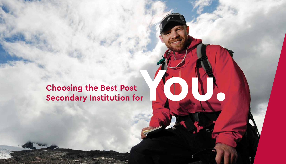## **Choosing the Best Post Secondary Institution for**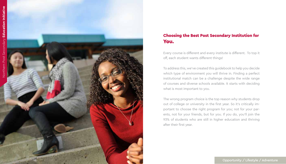

### Choosing the Best Post Secondary Institution for You.

Every course is different and every institute is different. To top it off, each student wants different things!

To address this, we've created this guidebook to help you decide which type of environment you will thrive in. Finding a perfect institutional match can be a challenge despite the wide range of courses and diverse schools available. It starts with deciding what is most important to you.

The wrong program choice is the top reason why students drop out of college or university in the first year. So it's critically im portant to choose the right program for you; not for your par ents, not for your friends, but for you. If you do, you'll join the 93% of students who are still in higher education and thriving after their first year.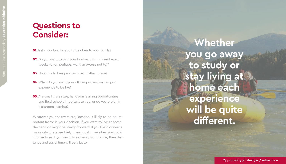## **Questions to Consider:**

- **01.** Is it important for you to be close to your family?
- **02.** Do you want to visit your boyfriend or girlfriend every weekend (or, perhaps, want an excuse not to)?
- **03.** How much does program cost matter to you?
- **04.** What do you want your off campus and on campus experience to be like?
- **05.** Are small class sizes, hands-on learning opportunities and field schools important to you, or do you prefer in classroom learning?

Whatever your answers are, location is likely to be an im portant factor in your decision. If you want to live at home, the decision might be straightforward. If you live in or near a major city, there are likely many local universities you could choose from. If you want to go away from home, then dis tance and travel time will be a factor.

# **Whether you go away to study or stay living at home each experience will be quite different.**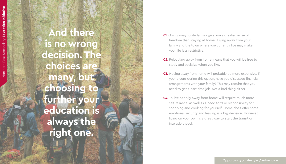**And there is no wrong decision. The choices are**  many, **choosing to further your education is always the right one.**

- **01.** Going away to study may give you a greater sense of freedom than staying at home. Living away from your family and the town where you currently live may make your life less restrictive.
- **02.** Relocating away from home means that you will be free to study and socialize when you like.
- **03.** Moving away from home will probably be more expensive. If you're considering this option, have you discussed financial arrangements with your family? This may require that you need to get a part-time job. Not a bad thing either.
- **04.** To live happily away from home will require much more self-reliance, as well as a need to take responsibility for shopping and cooking for yourself. Home does offer some emotional security and leaving is a big decision. However, living on your own is a great way to start the transition into adulthood.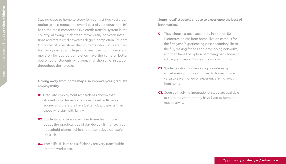Staying close to home to study for your first two years is an option to help reduce the overall cost of your education. BC has a the most comprehensive credit transfer system in the country, allowing students to move easily between institu tions and retain credit towards degree completion. Student Outcomes studies show that students who complete their first two years at a college in or near their community and move on for degree completion have the same or better outcomes of students who remain at the same institution throughout their studies.

**Moving away from home may also improve your graduate employability.**

- **01.** Graduate employment research has shown that students who leave home develop self-sufficiency sooner and therefore have better job prospects than those who stay with family.
- **02.** Students who live away from home learn more about the practicalities of day-to-day living, such as household chores, which help them develop useful life skills.
- **03.** These life skills of self-sufficiency are very transferable into the workplace.

**Some 'local' students choose to experience the best of both worlds.**

- **01.** They choose a post secondary institution 50 kilometres or less from home, live on campus for the first year (experiencing post secondary life to the full, making friends and developing networks) and then have the option of moving back home in subsequent years. This is increasingly common.
- **02.** Students who choose a co-op or internship sometimes opt for work closer to home or vice versa to save money or experience living away from home.
- **03.** Courses involving international study are available to students whether they have lived at home or moved away.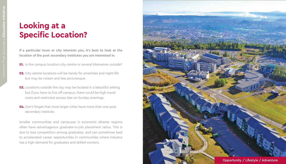### **Looking at a Specific Location?**

**If a particular town or city interests you, it's best to look at the location of the post secondary institutes you are interested in.**

- **01.** Is the campus location city-centre or several kilometres outside?
- **02.** City-centre locations will be handy for amenities and night-life but may be noisier and less picturesque.
- **03.** Locations outside the city may be located in a beautiful setting but if you have to live off-campus, there could be high travel costs and restricted access late on Sunday evenings.
- **04.** Don't forget that most larger cities have more than one post secondary institute.

Smaller communities and campuses in economic diverse regions often have advantageous graduate-to-job placement ratios. This is due to less competition among graduates, and can sometimes lead to accelerated career opportunities in communities where industry has a high demand for graduates and skilled workers.

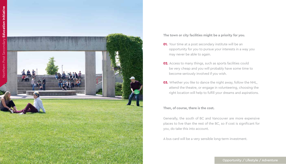

**The town or city facilities might be a priority for you.**

- **01.** Your time at a post secondary institute will be an opportunity for you to pursue your interests in a way you may never be able to again.
- **02.** Access to many things, such as sports facilities could be very cheap and you will probably have some time to become seriously involved if you wish.
- **03.** Whether you like to dance the night away, follow the NHL, attend the theatre, or engage in volunteering, choosing the right location will help to fulfill your dreams and aspirations.

**Then, of course, there is the cost.**

Generally, the south of BC and Vancouver are more expensive places to live than the rest of the BC, so if cost is significant for you, do take this into account.

A bus card will be a very sensible long-term investment.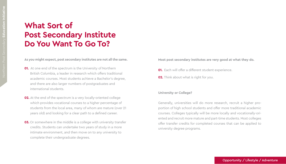### **What Sort of Post Secondary Institute Do You Want To Go To?**

**As you might expect, post secondary institutes are not all the same.**

- **01.** At one end of the spectrum is the University of Northern British Columbia, a leader in research which offers traditional academic courses. Most students achieve a Bachelor's degree, and there are also larger numbers of postgraduates and international students.
- **02.** At the end of the spectrum is a very locally-oriented college which provides vocational courses to a higher percentage of students from the local area, many of whom are mature (over 21 years old) and looking for a clear path to a defined career.
- **03.** Or somewhere in the middle is a college with university transfer credits. Students can undertake two years of study in a more intimate environment, and then move on to any university to complete their undergraduate degrees.

**Most post secondary institutes are very good at what they do.**

- **01.** Each will offer a different student experience.
- **02.** Think about what is right for you.

#### **University or College?**

Generally, universities will do more research, recruit a higher proportion of high school students and offer more traditional academic courses. Colleges typically will be more locally and vocationally-oriented and recruit more mature and part-time students. Most colleges offer transfer credits for completed courses that can be applied to university degree programs.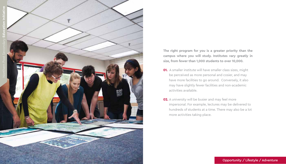

**The right program for you is a greater priority than the campus where you will study. Institutes vary greatly in size, from fewer than 1,000 students to over 10,000.**

- **01.** A smaller institute will have smaller class sizes, might be perceived as more personal and cosier, and may have more facilities to go around. Conversely, it also may have slightly fewer facilities and non-academic activities available.
- **02.** A university will be busier and may feel more impersonal. For example, lectures may be delivered to hundreds of students at a time. There may also be a lot more activities taking place.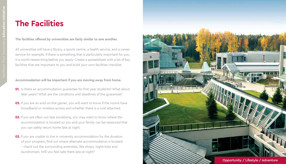## **The Facilities**

**The facilities offered by universities are fairly similar to one another.**

All universities will have a library, a sports centre, a health service, and a career service for example. If there is something that is particularly important for you, it is worth researching before you apply. Create a spreadsheet with a list of key facilities that are important to you and build your own facilities checklist.

**Accommodation will be important if you are moving away from home.**

- **01.** Is there an accommodation guarantee for first-year students? What about later years? What are the conditions and deadlines of the guarantee?
- **02.** If you are an avid on-line gamer, you will want to know if the rooms have broadband or wireless access and whether there is a cost attached.
- **03.** If you are often out late socializing, you may want to know where the accommodation is located so you and your family can be reassured that you can safely return home late at night.
- **03.** If you are unable to live in university accommodation for the duration of your program, find out where alternate accommodation is located – check out the surrounding amenities, like shops, nightclubs and laundromats. Will you feel safe there late at night?

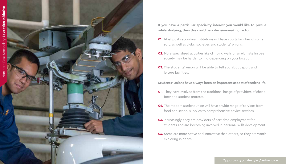

**If you have a particular speciality interest you would like to pursue while studying, then this could be a decision-making factor.**

- **01.** Most post secondary institutions will have sports facilities of some sort, as well as clubs, societies and students' unions.
- **02.** More specialized activities like climbing walls or an ultimate frisbee society may be harder to find depending on your location.
- **03.** The students' union will be able to tell you about sport and leisure facilities.

**Students' Unions have always been an important aspect of student life.**

- **01.** They have evolved from the traditional image of providers of cheap beer and student protests.
- **02.** The modern student union will have a wide range of services from food and school supplies to comprehensive advice services.
- **03.** Increasingly, they are providers of part-time employment for students and are becoming involved in personal skills development.
- **04.** Some are more active and innovative than others, so they are worth exploring in depth.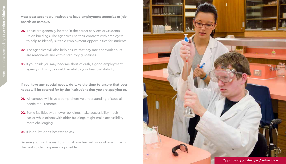**Most post secondary institutions have employment agencies or jobboards on campus.**

- **01.** These are generally located in the career services or Students' Union buildings. The agencies use their contacts with employers to help to identify suitable employment opportunities for students.
- **02.** The agencies will also help ensure that pay rate and work hours are reasonable and within statutory guidelines.
- **03.** If you think you may become short of cash, a good employment agency of this type could be vital to your financial stability.

**If you have any special needs, do take the time to ensure that your needs will be catered for by the institutions that you are applying to.**

- **01.** All campus will have a comprehensive understanding of special needs requirements.
- **02.** Some facilities with newer buildings make accessibility much easier while others with older buildings might make accessibility more challenging.
- **03.** If in doubt, don't hesitate to ask.

Be sure you find the institution that you feel will support you in having the best student experience possible.

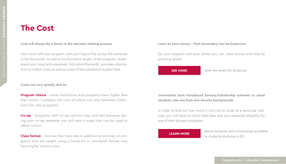### **The Cost**

#### **Cost will always be a factor in the decision-making process.**

How much will your program cost you? Figure this out by the semester or by the month, as well as for the entire length of the program. Understand your long term expenses. EducationPlannerBC provides information on tuition costs as well as some of the additional student fees.

#### **Costs can vary greatly due to:**

**Program choice** - some institutions and programs have higher fees than others. Compare the cost of tuition not only between institutions but also programs.

**Co-op** – programs with co-op options may cost less because during your co-op semester you will earn a wage that can be used to offset tuition.

**Class format** - courses that have labs in addition to lectures, or programs that are taught using a hands-on or simulation format may have higher tuition costs.

#### **Learn to Save Money - Post-Secondary Can be Expensive**

Do your research and save where you can. Save money and time by planning ahead.

#### **SEE MORE**

Save the stress for studying!

#### **Universities have introduced bursary/scholarship schemes to assist students who are from low-income backgrounds.**

In order to find out how much it will cost to study at a particular institute, you will have to check their fees and your potential eligibility for any of their bursary programs.

#### **LEARN MORE**

about bursaries and scholarships available to students studying in BC.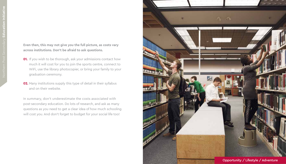**Even then, this may not give you the full picture, as costs vary across institutions. Don't be afraid to ask questions.**

- **01.** If you wish to be thorough, ask your admissions contact how much it will cost for you to join the sports centre, connect to WiFi, use the library photocopier, or bring your family to your graduation ceremony.
- **02.** Many institutions supply this type of detail in their syllabus and on their website.

In summary, don't underestimate the costs associated with post-secondary education. Do lots of research, and ask as many questions as you need to get a clear idea of how much schooling will cost you. And don't forget to budget for your social life too!

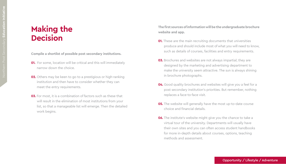### **Making the Decision**

**Compile a shortlist of possible post secondary institutions.**

- **01.** For some, location will be critical and this will immediately narrow down the choice.
- **02.** Others may be keen to go to a prestigious or high-ranking institution and then have to consider whether they can meet the entry requirements.
- **03.** For most, it is a combination of factors such as these that will result in the elimination of most institutions from your list, so that a manageable list will emerge. Then the detailed work begins.

**The first sources of information will be the undergraduate brochure website and app.**

- **01.** These are the main recruiting documents that universities produce and should include most of what you will need to know, such as details of courses, facilities and entry requirements.
- **03.** Brochures and websites are not always impartial; they are designed by the marketing and advertising department to make the university seem attractive. The sun is always shining in brochure photographs.
- **04.** Good quality brochures and websites will give you a feel for a post secondary institution's priorities. But remember, nothing replaces a face-to-face visit.
- **05.** The website will generally have the most up-to-date course choice and financial details.
- **06.** The institute's website might give you the chance to take a virtual tour of the university. Departments will usually have their own sites and you can often access student handbooks for more in-depth details about courses, options, teaching methods and assessment.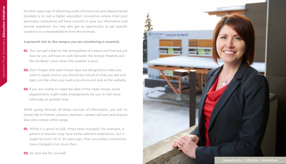Another easy way of obtaining a pile of brochures and departmental booklets is to visit a higher education convention where most post secondary institutions will have a booth to give out information and answer questions. You may also get an opportunity to ask specific questions to a representative from the institute.

**A personal visit to the campus you are considering is essential.** 

- **01.** You can get a feel for the atmosphere of a place and find out just how far you will have to walk between the lecture theatres and the students' union when the weather is poor.
- **02.** Don't forget that open house days are designed to make you want to apply and so you should be critical of what you see and hear, just like when you read a brochure and look at the website.
- **03.** If you are unable to make the date of the Open House, some departments might make arrangements for you to visit more informally at another time.

While going through all these sources of information, you will no doubt talk to friends, parents, teachers, careers advisers and anyone else who comes within range.

- **01.** While it is good to talk, times have changed. For example, a parent or teacher may have some relevant experience, but it might be from 20 or 30 years ago. Post secondary institutions have changed a lot since then.
- **02.** Go and see for yourself.

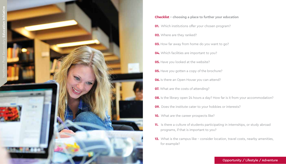

- **Checklist choosing a place to further your education 01.** Which institutions offer your chosen program? **02.** Where are they ranked? **03.** How far away from home do you want to go? **04.** Which facilities are important to you? **05.** Have you looked at the website? **05.** Have you gotten a copy of the brochure? **06.** Is there an Open House you can attend? **07.** What are the costs of attending? **08.** Is the library open 24 hours a day? How far is it from your accommodation? **09.** Does the institute cater to your hobbies or interests? **10.** What are the career prospects like? **11.** Is there a culture of students participating in internships, or study abroad programs, if that is important to you?
	- **12.** What is the campus like consider location, travel costs, nearby amenities, for example?

#### Opportunity / Lifestyle / Adventure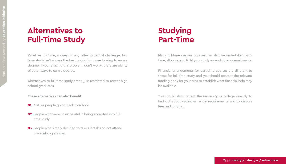## **Alternatives to Full-Time Study**

Whether it's time, money, or any other potential challenge, fulltime study isn't always the best option for those looking to earn a degree. If you're facing this problem, don't worry; there are plenty of other ways to earn a degree.

Alternatives to full-time study aren't just restricted to recent high school graduates.

**These alternatives can also benefit:**

- **01.** Mature people going back to school.
- **02.** People who were unsuccessful in being accepted into fulltime study.
- **03.** People who simply decided to take a break and not attend university right away.

## **Studying Part-Time**

Many full-time degree courses can also be undertaken parttime, allowing you to fit your study around other commitments.

Financial arrangements for part-time courses are different to those for full-time study and you should contact the relevant funding body for your area to establish what financial help may be available.

You should also contact the university or college directly to find out about vacancies, entry requirements and to discuss fees and funding.